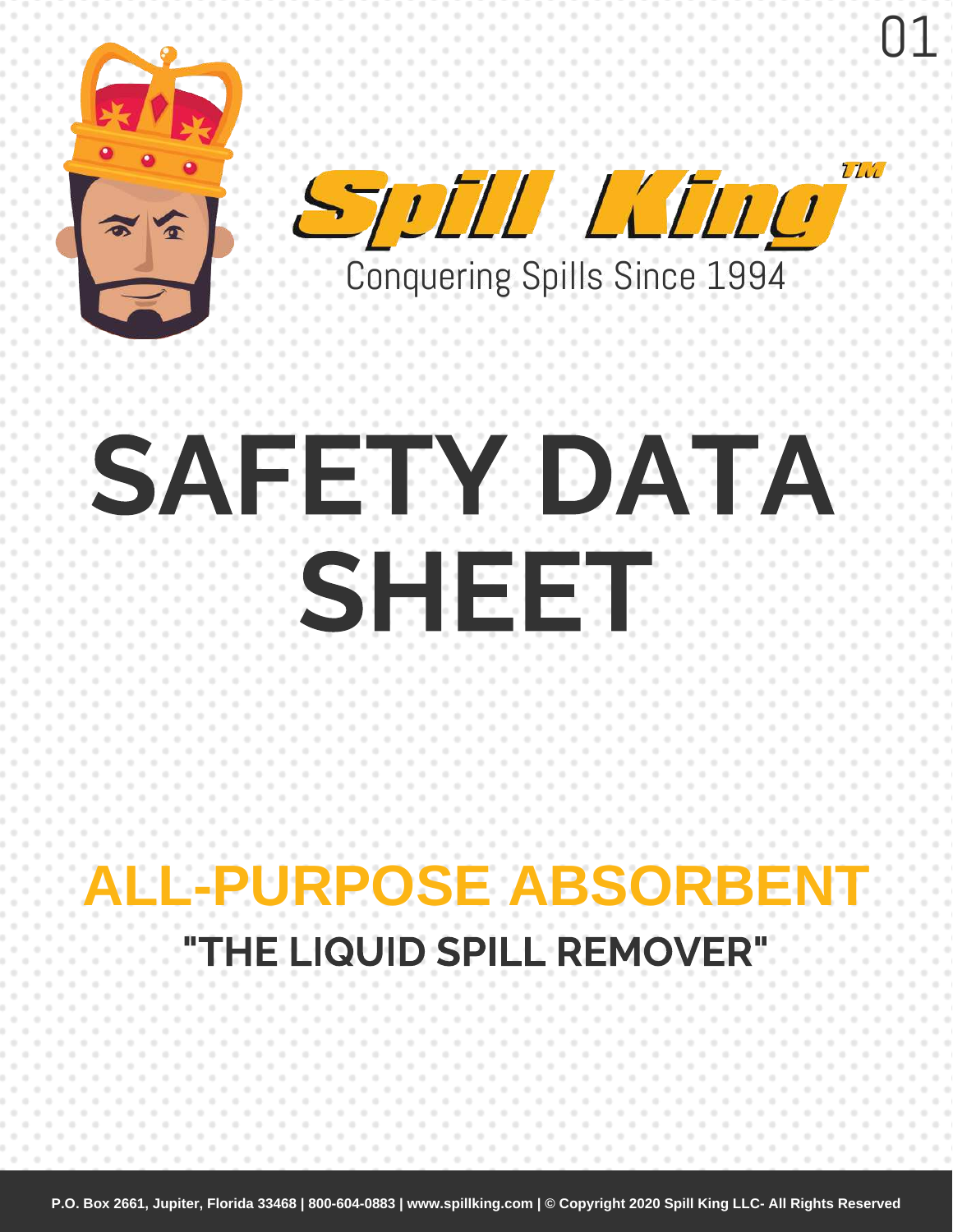



01

# SAFETY DATA SHEET

# **ALL-PURPOSE ABSORBENT** "THE LIQUID SPILL REMOVER"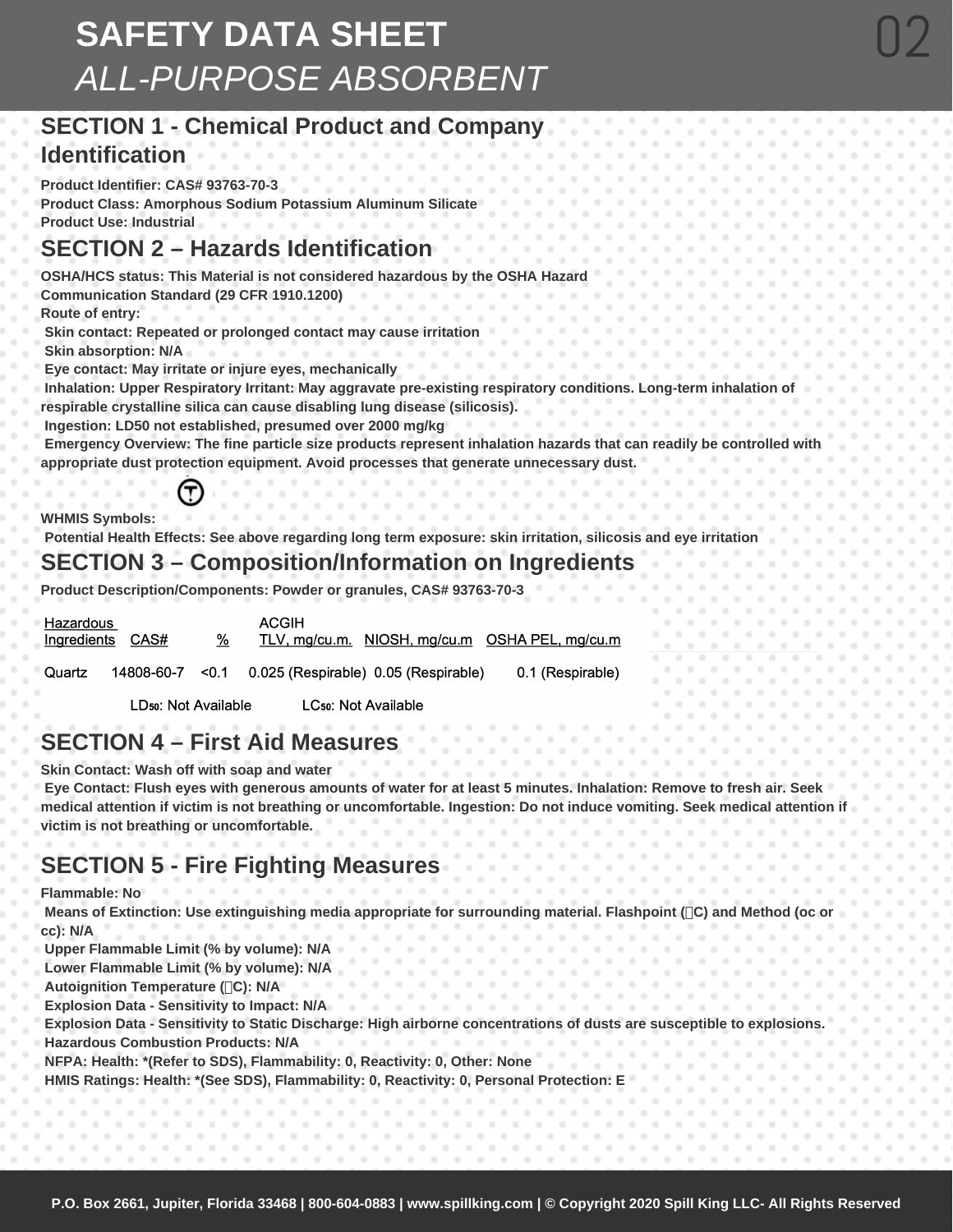# **SAFETY DATA SHEET**  *ALL-PURPOSE ABSORBENT*

# **SECTION 1 - Chemical Product and Company Identification**

**Product Identifier: CAS# 93763-70-3** 

**Product Class: Amorphous Sodium Potassium Aluminum Silicate Product Use: Industrial** 

# **SECTION 2 – Hazards Identification**

**OSHA/HCS status: This Material is not considered hazardous by the OSHA Hazard Communication Standard (29 CFR 1910.1200)** 

**Route of entry:**

 **Skin contact: Repeated or prolonged contact may cause irritation**

 **Skin absorption: N/A**

 **Eye contact: May irritate or injure eyes, mechanically**

 **Inhalation: Upper Respiratory Irritant: May aggravate pre-existing respiratory conditions. Long-term inhalation of respirable crystalline silica can cause disabling lung disease (silicosis).**

 **Ingestion: LD50 not established, presumed over 2000 mg/kg**

 **Emergency Overview: The fine particle size products represent inhalation hazards that can readily be controlled with appropriate dust protection equipment. Avoid processes that generate unnecessary dust.** 

**WHMIS Symbols:**

 **Potential Health Effects: See above regarding long term exposure: skin irritation, silicosis and eye irritation** 

# **SECTION 3 – Composition/Information on Ingredients**

**Product Description/Components: Powder or granules, CAS# 93763-70-3** 

| Hazardous<br>Ingredients | CAS#                 | % | <b>ACGIH</b>                                    | TLV, mg/cu.m. NIOSH, mg/cu.m OSHA PEL, mg/cu.m | .<br>.<br>.<br>.<br>. |
|--------------------------|----------------------|---|-------------------------------------------------|------------------------------------------------|-----------------------|
| Quartz                   | 14808-60-7           |   | $\leq$ 0.1 0.025 (Respirable) 0.05 (Respirable) | 0.1 (Respirable)                               | .<br>.                |
|                          | LD50: Not Available. |   | LC <sub>50</sub> : Not Available                |                                                | .<br>.                |

# **SECTION 4 – First Aid Measures**

**Skin Contact: Wash off with soap and water**

 **Eye Contact: Flush eyes with generous amounts of water for at least 5 minutes. Inhalation: Remove to fresh air. Seek medical attention if victim is not breathing or uncomfortable. Ingestion: Do not induce vomiting. Seek medical attention if victim is not breathing or uncomfortable.** 

# **SECTION 5 - Fire Fighting Measures**

**Flammable: No**

 **Means of Extinction: Use extinguishing media appropriate for surrounding material. Flashpoint (C) and Method (oc or cc): N/A**

 **Upper Flammable Limit (% by volume): N/A**

 **Lower Flammable Limit (% by volume): N/A**

 **Autoignition Temperature (C): N/A**

 **Explosion Data - Sensitivity to Impact: N/A**

 **Explosion Data - Sensitivity to Static Discharge: High airborne concentrations of dusts are susceptible to explosions. Hazardous Combustion Products: N/A**

 **NFPA: Health: \*(Refer to SDS), Flammability: 0, Reactivity: 0, Other: None**

 **HMIS Ratings: Health: \*(See SDS), Flammability: 0, Reactivity: 0, Personal Protection: E**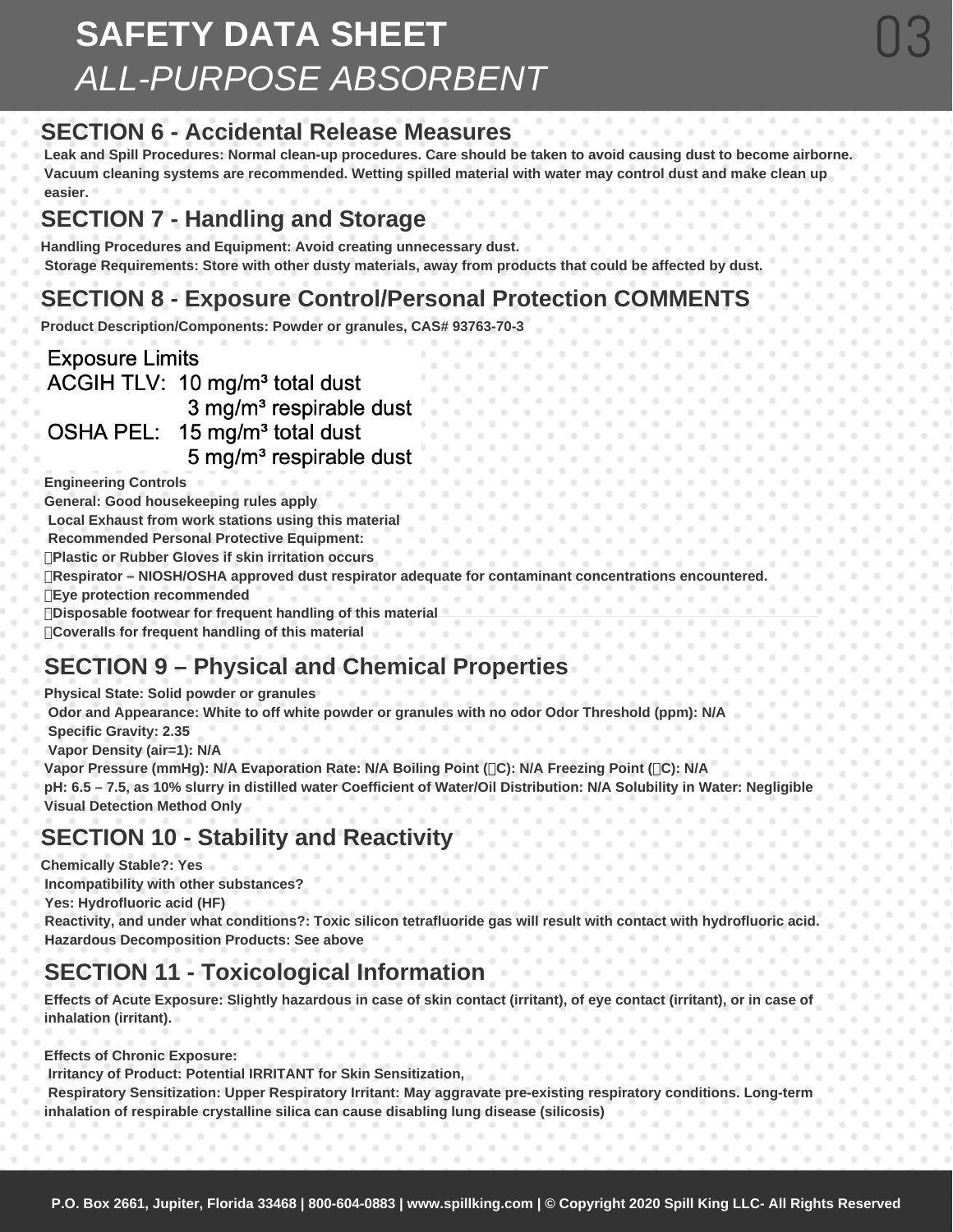# **SAFETY DATA SHEET**  *ALL-PURPOSE ABSORBENT*

# **SECTION 6 - Accidental Release Measures**

**Leak and Spill Procedures: Normal clean-up procedures. Care should be taken to avoid causing dust to become airborne. Vacuum cleaning systems are recommended. Wetting spilled material with water may control dust and make clean up easier.** 

03

# **SECTION 7 - Handling and Storage**

**Handling Procedures and Equipment: Avoid creating unnecessary dust. Storage Requirements: Store with other dusty materials, away from products that could be affected by dust.** 

# **SECTION 8 - Exposure Control/Personal Protection COMMENTS**

**Product Description/Components: Powder or granules, CAS# 93763-70-3** 

**Exposure Limits** 

ACGIH TLV: 10 mg/m<sup>3</sup> total dust

3 mg/m<sup>3</sup> respirable dust

OSHA PEL: 15 mg/m<sup>3</sup> total dust

#### 5 mg/m<sup>3</sup> respirable dust

**Engineering Controls** 

**General: Good housekeeping rules apply**

 **Local Exhaust from work stations using this material**

 **Recommended Personal Protective Equipment:**

**Plastic or Rubber Gloves if skin irritation occurs**

**Respirator – NIOSH/OSHA approved dust respirator adequate for contaminant concentrations encountered.**

**Eye protection recommended**

**Disposable footwear for frequent handling of this material**

**Coveralls for frequent handling of this material** 

# **SECTION 9 – Physical and Chemical Properties**

**Physical State: Solid powder or granules Odor and Appearance: White to off white powder or granules with no odor Odor Threshold (ppm): N/A Specific Gravity: 2.35 Vapor Density (air=1): N/A Vapor Pressure (mmHg): N/A Evaporation Rate: N/A Boiling Point (C): N/A Freezing Point (C): N/A pH: 6.5 – 7.5, as 10% slurry in distilled water Coefficient of Water/Oil Distribution: N/A Solubility in Water: Negligible** 

**Visual Detection Method Only** 

# **SECTION 10 - Stability and Reactivity**

**Chemically Stable?: Yes Incompatibility with other substances?**

 **Yes: Hydrofluoric acid (HF)**

 **Reactivity, and under what conditions?: Toxic silicon tetrafluoride gas will result with contact with hydrofluoric acid. Hazardous Decomposition Products: See above** 

# **SECTION 11 - Toxicological Information**

**Effects of Acute Exposure: Slightly hazardous in case of skin contact (irritant), of eye contact (irritant), or in case of inhalation (irritant).** 

**Effects of Chronic Exposure:**

 **Irritancy of Product: Potential IRRITANT for Skin Sensitization,**

 **Respiratory Sensitization: Upper Respiratory Irritant: May aggravate pre-existing respiratory conditions. Long-term inhalation of respirable crystalline silica can cause disabling lung disease (silicosis)**